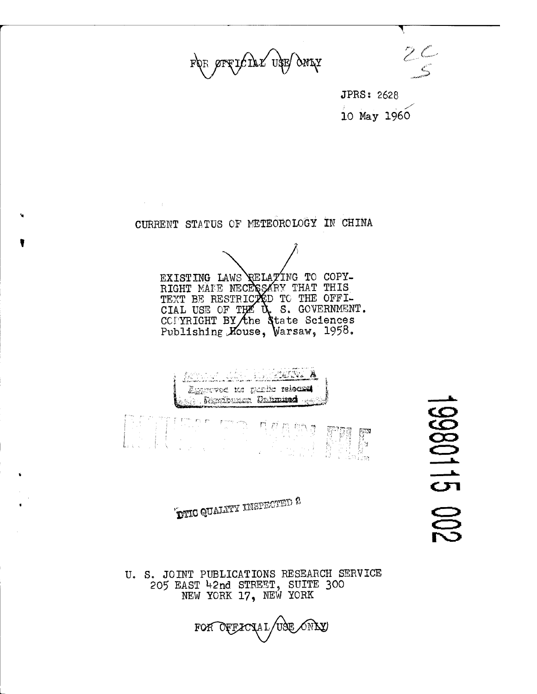FOR OFFICIAL USE OMY

 $2<sup>o</sup>$ *^>*

JPRS; 2628 **JPRS: 2628<br>10 May 1960** 

CURRENT STATUS OF METEOROLOGY IN CHINA

 $\mathcal{F}^{\text{max}}_{\text{max}}$ 

EXISTING LAWS RELATING TO COPY-RIGHT MAKE NECI TEXT BE RESTRICTED CIAL USE OF T CCPYRIGHT BY the State Sciences Publishing House, Warsaw, 1958. RY THAT THIS TO THE OFFI-S. GOVERNMENT.



 $\mathbf{\hat{F}}$ nd Gualty inspected 2

ü. S. JOINT PUBLICATIONS RESEARCH SERVICE 205 EAST 42nd STREET, SUITE 300 NEW YORK 17, NEW YORK



**IXPO115** 00%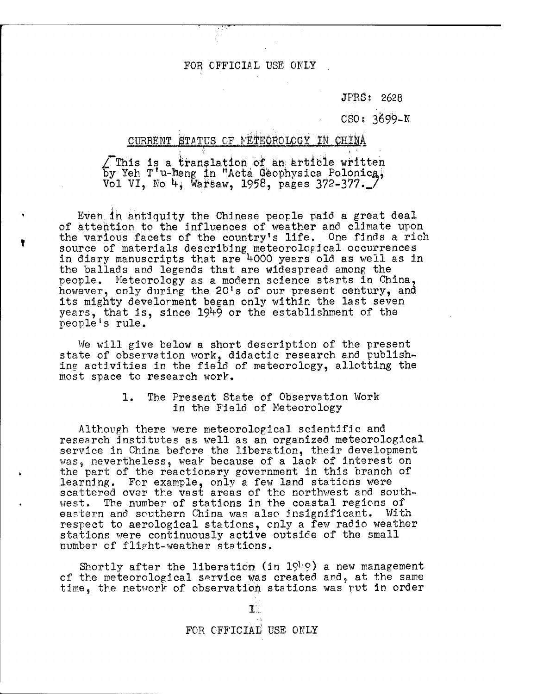JPRS; 2628

CSOs 3&99-N

## CURRENT STATUS OF METEOROLOGY IN CHINA

/"This is a translation *ok* an; article written by Yeh T'u-heng in "Acta Geophysica Polonica, Vol VI, No 4, Warsaw, 1958, pages 372-377. *J* 

Even in antiquity the Chinese people paid a great deal of attention to the influences of weather and climate upon the various facets of the country's life. One finds a rich source of materials describing meteorological occurrences in diary manuscripts that are 4000 years old as well as in the ballads and legends that are widespread among the people. Meteorology as a modern science starts in China, however, only during the 20's of our present century, and its mighty development began only within the last seven years, that is, since 1949 or the establishment of the people's rule.

We will give below a short description of the present state of observation work, didactic research and publishing activities in the field of meteorology, allotting the most space to research work,

### 1. The Present State of Observation Work in the Field of Meteorology

Although there were meteorological scientific and research institutes as well as an organized meteorological service in China before the liberation, their development was, nevertheless, weak because of a lack of interest on the part of the reactionary government in this branch of learning. For example, only a few land stations were scattered over the vast areas of the northwest and southwest. The number of stations in the coastal regions of eastern and southern China was also insignificant. With respect to aerological stations, only a few radio weather stations were continuously active outside of the small number of flipht-weather stations.

Shortly after the liberation (in  $19<sup>h</sup>$ ) a new management of the meteorological service was created and, at the same time, the network of observation stations was put in order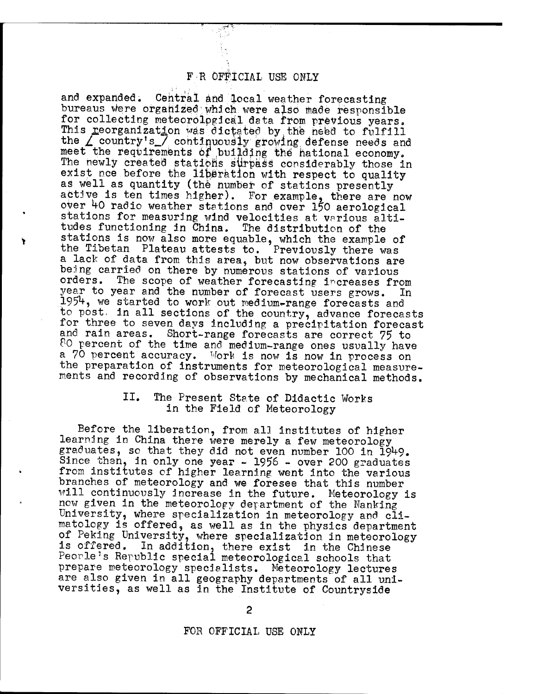and expanded. Central and local weather forecasting bureaus were organized which were also made responsible for collecting meteorological data from previous years. This reorganization was dictated by the need to fulfill the *L* country's / continuously growing defense needs and meet the requirements of building the hational economy. The newly created stations slirpäöä considerably those in exist nee before the liberation with respect to quality as well as quantity (the number of stations presently active is ten times higher). For example, there are now over *kO* radio weather stations and over 150 aerological stations for measuring wind velocities at various altitudes functioning in China. The distribution of the stations is now also more equable, which the example of the Tibetan Plateau attests to. Previously there was a lack of data from this area, but now observations are being carried on there by numerous stations of various<br>orders. The scope of weather forecasting increases fr The scope of weather forecasting increases from year to year and the number of forecast users grows. In 1954, we started to work out medium-range forecasts and to post, in all sections of the country, advance forecasts for three to seven days including a precipitation forecast and rain areas. Short-range forecasts are correct 75 to 80 percent of the time and medium-range ones usually have a 70 percent accuracy. Work is now is now in process on the preparation of instruments for meteorological measurements and recording of observations by mechanical methods.

# II. The Present State of Didactic Works in the Field of Meteorology

Before the liberation, from all Institutes of higher learning in China there were merely a few meteorology graduates, so that they did not even number 100 in 1949. Since then, in only one year - 1956 - over 200 graduates from institutes of higher learning went into the various branches of meteorology and we foresee that this number will continuously increase in the future. Meteorology is now given in the meteorology department of the Nanking University, where specialization in meteorology and climatology is offered, as well as in the physics department of Peking University, where specialization in meteorology is offered. In addition, there exist in the Chinese People's Republic special meteorological schools that prepare meteorology specialists. Meteorology lectures are also given in all geography departments of all universities, as well as in the Institute of Countryside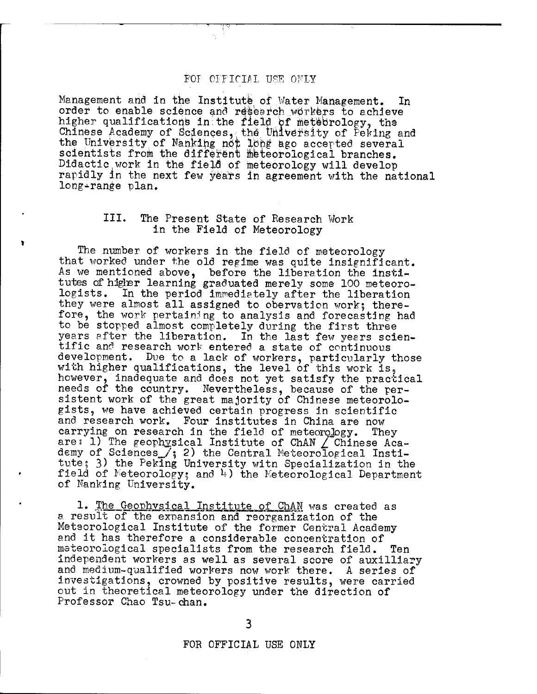Management and in the Institute, of Water Management. In order to enable science and research workers to achieve higher qualifications in:the field bf metebrology, the Chinese Academy of Sciences, the University of Peking and the University of Nänkihg not Ibhg ago accepted several Scientists from the different meteorological branches. Didactic work in the fielÖ of meteorology will develop rapidly in the next few years in agreement with the national long-range plan.

# III. The Present State of Research Work in the Field of Meteorology

The number of workers in the field of meteorology that worked under the old regime was quite insignificant. As we mentioned above, before the liberation the institutes of higher learning graduated merely some 100 meteoro-<br>logists. In the period immediately after the liberation In the period immediately after the liberation they were almost all assigned to obervation work; therefore, the work pertaining to analysis and forecasting had to be stopped almost completely during the first three years after the liberation. In the last few years scientific and research work entered a state of continuous development. Due to a lack of workers, particularly those with higher qualifications, the level of this work is, however, inadequate and does not yet satisfy the practical needs of the country. Nevertheless, because of the persistent work of the great majority of Chinese meteorologists, we have achieved certain progress in scientific and research work. Four institutes in China are now carrying on research in the field of meteorology. They are: 1) The geophysical Institute of ChAN  $\angle$  Chinese Academy of Sciences  $\tilde{f}_3$  2) the Central Meteorological Institute; 3) the Peking University witn Specialization in the field of Meteorology; and *h)* the Meteorological Department of Nanking University.

*1 '* The Geophysical Institute of ChAN was created as a result of the expansion and reorganization of the Meteorological Institute of the former Central Academy and it has therefore a considerable concentration of meteorological specialists from the research field. Ten independent workers as well as several score of auxilliary and medium-qualified workers now work there. A series of investigations, crowned by positive results, were carried out in theoretical meteorology under the direction of Professor Chao Tsu-chan.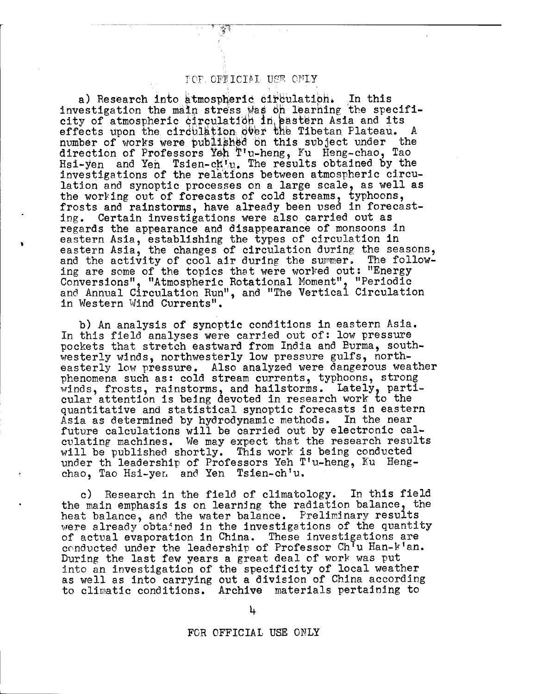## TOP. OFFICIAL USE OFLY

a) Research into atmospheric circulation. In this investigation the main stress was on learning the specificity of atmospheric circulation in pastern Asia and its effects upon the circulation over the Tibetan Plateau. A number of works were published on this subject under the direction of Professors Yeh T ! u-heng, Fu Heng-chao, Tao Hsi-yen and Yen Tsien-ch'u. The results obtained by the investigations of the relations between atmospheric circulation and synoptic processes on a large scale, as well as the working out of forecasts of cold streams, typhoons, frosts and rainstorms, have already been used in forecasting. Certain investigations were also carried out as regards the appearance and disappearance of monsoons in eastern Asia, establishing the types of circulation in eastern Asia, the changes of circulation during the seasons, and the activity of cool air during the summer. The following are some of the topics that were worked outs "Energy Conversions", "Atmospheric Rotational Moment", "Periodic and Annual Circulation Run", and "The Vertical Circulation in Western Wind Currents".

b) An analysis of synoptic conditions in eastern Asia. In this field analyses were carried out of; low pressure pockets that stretch eastward from India and Eurma, southwesterly winds, northwesterly low pressure gulfs, northeasterly low pressure. Also analyzed were dangerous weather phenomena such as: cold stream currents, typhoons, strong winds, frosts, rainstorms, and hailstorms. Lately, particular attention is being devoted in research work to the quantitative and statistical synoptic forecasts in eastern Asia as determined by hydrodynamic methods. In the near future calculations will be carried out by electronic calculating machines. We may expect that the research results will be published shortly. This work is being conducted under th leadership of Professors Yeh T'u-heng, Ku Hengchao, Tao Hsi-yen and Yen Tsien-ch'u.

c) Research in the field of climatology. In this field the main emphasis is on learning the radiation balance, the heat balance, and the water balance. Preliminary results were already obtained in the investigations of the quantity of actual evaporation in China. These investigations are conducted under the leadership of Professor Ch'u Han-k'an. During the last few years a great deal of work was put into an investigation of the specificity of local weather as well as into carrying out a division of China according to climatic conditions. Archive materials pertaining to

ħ.

FCR OFFICIAL USE ONLY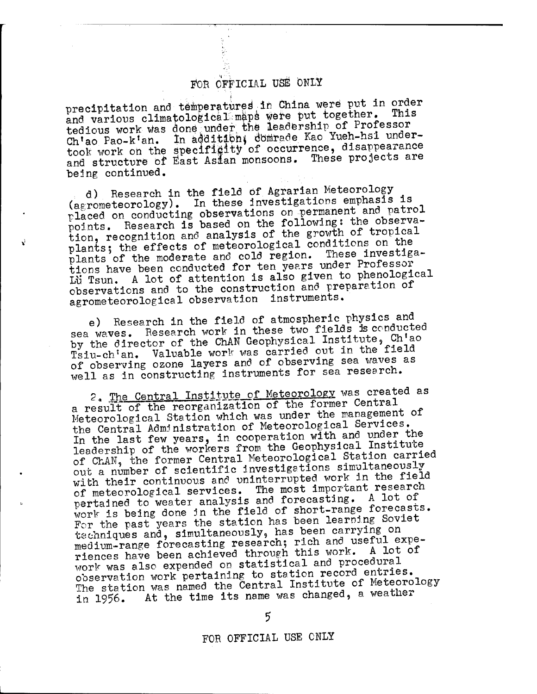precipitation and temperatures in China were put in order and various climatological maps were put together. Thi tedious work was done under the leadership of Professor Ch'ao Pao-k'an. In addition, domrade Kao Yueh-hsi undertook work on the specificity of occurrence, disappearance and structure of East Asian monsoons. These projects are being continued.

d) Research in the field of Agrarian Meteorology (aerometeorology). In these investigations emphasis is placed on conducting observations on permanent and patrol points. Research is based on the following: the observation, recognition and analysis of the growth of tropical plants; the effects of meteorological conditions on the plants of the moderate and cold region. These investigations have been conducted for ten years under Professor Lu Tsun. A lot of attention is also given to phenological observations and to the construction and preparation of agrometeorological observation instruments.

e) Research in the field of atmospheric physics and sea waves. Research work in these two fields *is* conducted by the director of the ChAN Geophysical Institute, Ch'ao Tsiu-ch'an. Valuable work was carried out in the field of observing ozone layers and of observing sea waves as well as in constructing instruments for sea research.

2. The Central Institute of Meteorology was created as a result of the reorganization of the former Central Meteorological Station which was under the management of Meteorological Station which was under the management In the last few years, in cooperation with and under the leadership of the workers from the Geophysical Institute of ChAN, the former Central Meteorological Station carried out a number of scientific investigations simultaneously with their continuous and uninterrupted work in the field of meteorological services. The most important researca pertained to weater analysis and forecasting. A lot of work is being done in the field of short-range forecasts. For the past years the station has been learning Soviet For the past years the station has boom redising on<br>techniques and, simultaneously, has been carrying on<br>medium-range forecasting research; rich and useful expemedium-range forecasting research; rich and useful expe-<br>riences have been achieved through this work. A lot of work was also expended on statistical and procedural observation work pertaining to station record entries. The station was named the Central Institute of Meteorology in 1956. At the time its name was changed, a weather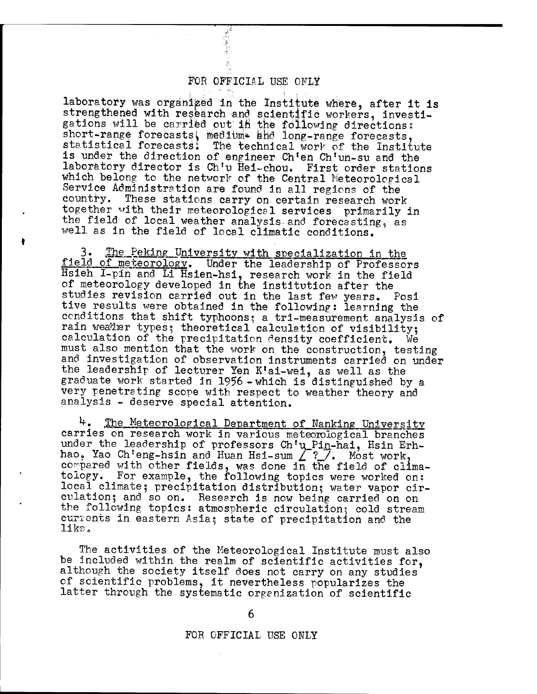$\label{eq:4} \frac{1}{2}\frac{\left(\frac{1}{2}-\frac{1}{2}\right)^2}{\left(\frac{1}{2}-\frac{1}{2}\right)^2}\frac{d_{\rm{max}}}{d_{\rm{max}}}$ 

laboratory was organized in the Institute where, after it is strengthened with research and scientific workers, investigations will be carried out in the following directions: short-range forecasts, medium ahd long-range forecasts. statistical forecasts: The technical work of the Institute is under the direction of engineer Ch'en Ch'un-su and the laboratory director is Ch'u Hei-chou. First order stations which belong to the network of the Central Meteorological Service Administration are found in all regions of the country. These stations carry on certain research wor These stations carry on certain research work together with their meteorological services primarily in the field of local weather analysis-and forecasting, as well as in the field of local climatic conditions.

3. The Peking University with specialization in the field of meteorology. Under the leadership of Professors Hsieh I-pin and Li Hsien-hsi, research work in the field of meteorology developed in the institution after the studies revision carried out in the last few years. Positive results were obtained in the following: learning the conditions that shift typhoons; a tri-measurement analysis of rain weater types; theoretical calculation of visibility; calculation of the precipitation density coefficient. We must also mention that the work on the construction, testing and investigation of observation instruments carried on under the leadership of lecturer Yen K'ai-wei, as well as the graduate work started in 1956-which is distinguished by a very penetrating scope with respect to weather theory and analysis - deserve special attention.

*\*\*•* The Meteorological Department of Nanking University carries on research work in various meteorological branches under the leadership of professors Ch'u\_Pin-hai, Hsin Erhhao, Yao Ch'eng-hsin and Huan Hsi-sum  $2^2$ . Most work, compared with other fields, was done in the field of climatology. For example, the following topics were worked on: local climate| precipitation distribution; water vapor circulation? and so on. Research is now being carried on on the following topics: atmospheric circulation; cold stream currents in eastern Asia; state of precipitation and the like.

The activities of the Meteorological Institute must also be included within the realm of scientific activities for, although the society itself does not carry on any studies of scientific problems, it nevertheless popularizes the latter through the systematic organization of scientific

6

### FOR OFFICIAL USE ONLY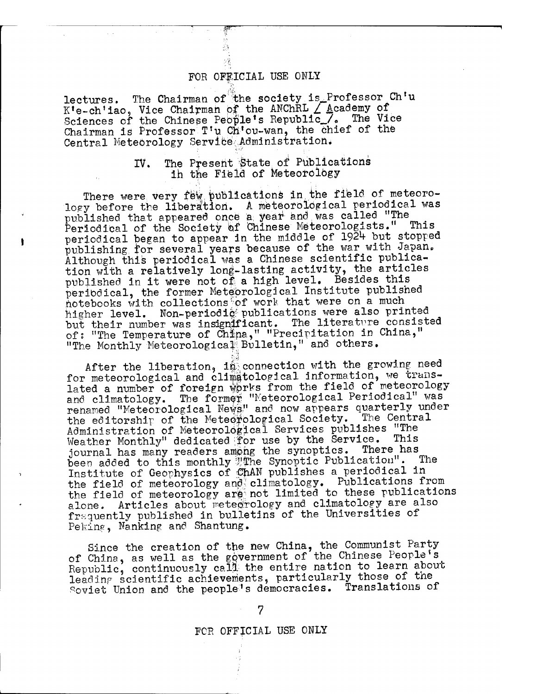lectures. The Chairman of the society is Professor Ch'u  $K^{\dagger}e-ch^{\dagger}$ iao, Vice Chairman of the ANChRL  $\angle$  Academy of Sciences of the Chinese People's Republic./, The Vice Chairman is Professor T'u Ch'ou-wan, the chief of the Central Meteorology Service Administration.

 $\sim 10^{-1}$ 

## IV. The Present State of Publications ih the Field of Meteorology

There were very few publications in the field of meteorology before the liberation. A meteorological periodical was published that appeared once a year and was called "The Periodical of the Society of Chinese Meteorologists." This periodical began to appear in the middle of 1924 but stopped publishing for several years because of the war with Japan» Although this periodical was a Chinese scientific publication with a relatively long-lasting activity, the articles published in it were not of a high level. Besides this periodical, the former Meteorological Institute published notebooks with collections of work that were on a much higher level. Non-periodic publications were also printed but their number was insignificant. The literature consisted of: "The Temperature of China," "Precipitation in China," "The Monthly Meteorological Bulletin," and others.

After the liberation, in connection with the growing need for meteorological and climatological information, we translated a number of foreign works from the field of meteorology and climatology. The former "Meteorological Periodical" was renamed "Meteorological News" and now appears quarterly under the editorship of the Meteorological Society. The Central Administration of Meteorological Services publishes "The Weather Monthly" dedicated for use by the Service. This<br>journal bas many readers among the synoptics. There has journal has many readers among the synoptics. been added to this monthly Whe Synoptic Publication". The Institute of Geophysics of €hAN publishes a periodical in the field of meteorology and climatology. Publications from the field of meteorology are not limited to these publications alone. Articles about meteorology and climatology are also frequently published in bulletins of the Universities of Peking, Nanking and Shantung.

Since the creation of the new China, the Communist Party of China, as well as the government of the Chinese People's Republic, continuously call the entire nation to learn about leading scientific achievements, particularly those of the soviet Union and the people's democracies. Translations of

### FCR OFFICIAL USE ONLY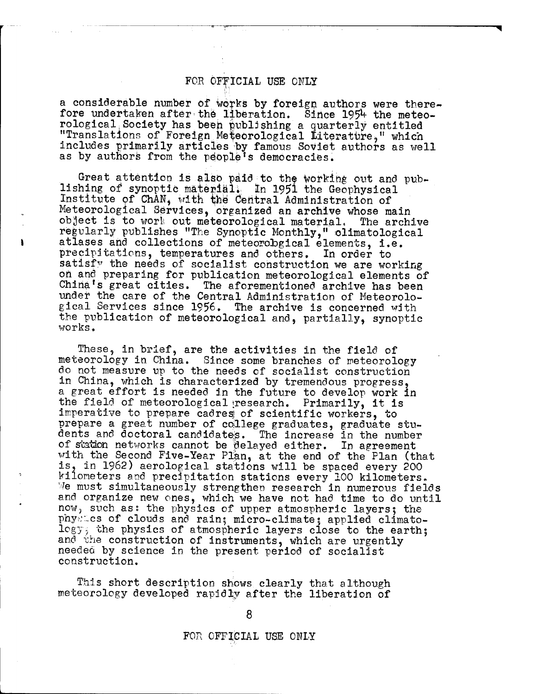a considerable number of works by foreign authors were therefore undertaken after the liberation. Since 1954 the meteorological ,Society has been publishing' a quarterly entitled "Translations of Foreign Meteorological Literature," which includes primarily articles by famous Soviet authors as well as by authors from the people's democracies.

Great attention is also paid to the working out and publishing of synoptic material; In 1951 the Geophysical Institute of ChAN, with the Central Administration of Meteorological Services, organized an archive whose main object is to work out meteorological material, The archive regularly publishes "The Synoptic Monthly," olimatological atlases and collections of meteorobgical elements, i.e. precipitations, temperatures and others. In order to satisfy the needs of socialist construction we are working on and preparing for publication meteorological elements of China's great cities. The aforementioned archive has been under the care of the Central Administration of Meteorological Services since 1956. The archive is concerned with the publication of meteorological and, partially, synoptic works.

These, in brief, are the activities in the field of meteorology in China. Since some branches of meteorology do not measure up to the needs of socialist construction in China, which is characterized by tremendous progress, a great effort is needed in the future to develop work in the field of meteorological»research. Primarily, it is imperative to prepare cadres of scientific workers, to prepare a great number of college graduates, graduate students and doctoral candidates. The increase in the number of station networks cannot be delayed either. In agreement with the Second Five-Year Plan, at the end of the Plan (that is, in 1962) aerological stations will be spaced every 200 kilometers and precipitation stations every 100 kilometers. We must simultaneously strengthen research in numerous fields and organize new ones, which we have not had time to do until now, such as: the physics of upper atmospheric layers; the physics of clouds and rain; micro-climate; applied climatology; the physics of atmospheric layers close to the earth; and the construction of instruments, which are urgently needed by science in the present period of socialist construction.

This short description shows clearly that although meteorology developed rapidly after the liberation of

8

FOR OFFICIAL USE ONLY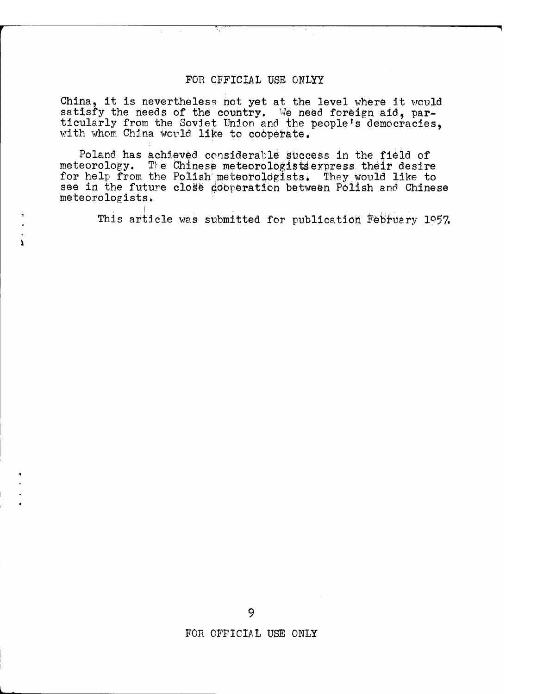China, it is nevertheless hot yet at the level where it would satisfy the needs of the country. We need foreign aid, particularly from the Soviet Union and the people's democracies, with whom China would like to cooperate.

Poland has achieved considerable süccess in the field of meteorology. The Chinese meteorologists express their desire for help from the Polish meteorologists. They would like to see in the future close ddoperation between Polish and Chinese meteorologists.

This article was submitted for publication February 1957.